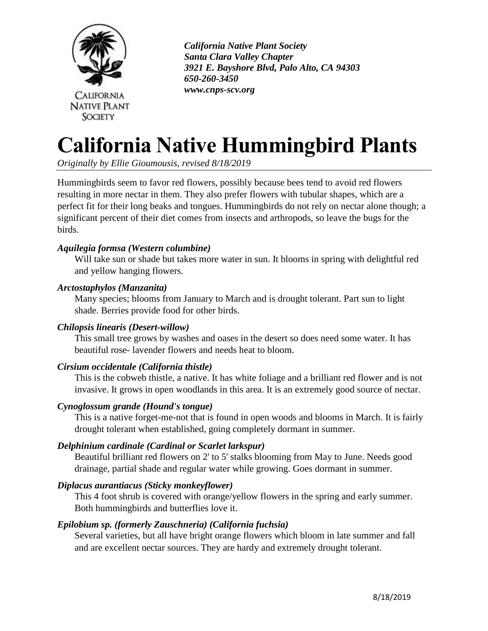

 *California Native Plant Society Santa Clara Valley Chapter 3921 E. Bayshore Blvd, Palo Alto, CA 94303 650-260-3450 www.cnps-scv.org*

# **California Native Hummingbird Plants**

*Originally by Ellie Gioumousis, revised 8/18/2019*

Hummingbirds seem to favor red flowers, possibly because bees tend to avoid red flowers resulting in more nectar in them. They also prefer flowers with tubular shapes, which are a perfect fit for their long beaks and tongues. Hummingbirds do not rely on nectar alone though; a significant percent of their diet comes from insects and arthropods, so leave the bugs for the birds.

# *Aquilegia formsa (Western columbine)*

Will take sun or shade but takes more water in sun. It blooms in spring with delightful red and yellow hanging flowers.

# *Arctostaphylos (Manzanita)*

Many species; blooms from January to March and is drought tolerant. Part sun to light shade. Berries provide food for other birds.

# *Chilopsis linearis (Desert-willow)*

This small tree grows by washes and oases in the desert so does need some water. It has beautiful rose- lavender flowers and needs heat to bloom.

# *Cirsium occidentale (California thistle)*

This is the cobweb thistle, a native. It has white foliage and a brilliant red flower and is not invasive. It grows in open woodlands in this area. It is an extremely good source of nectar.

# *Cynoglossum grande (Hound's tongue)*

This is a native forget-me-not that is found in open woods and blooms in March. It is fairly drought tolerant when established, going completely dormant in summer.

# *Delphinium cardinale (Cardinal or Scarlet larkspur)*

Beautiful brilliant red flowers on 2' to 5' stalks blooming from May to June. Needs good drainage, partial shade and regular water while growing. Goes dormant in summer.

# *Diplacus aurantiacus (Sticky monkeyflower)*

This 4 foot shrub is covered with orange/yellow flowers in the spring and early summer. Both hummingbirds and butterflies love it.

# *Epilobium sp. (formerly Zauschneria) (California fuchsia)*

Several varieties, but all have bright orange flowers which bloom in late summer and fall and are excellent nectar sources. They are hardy and extremely drought tolerant.